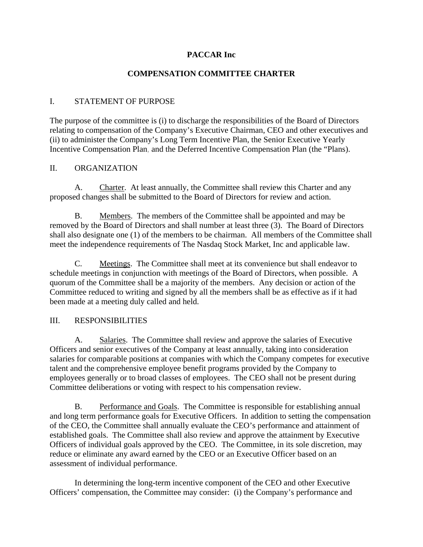# **PACCAR Inc**

# **COMPENSATION COMMITTEE CHARTER**

### I. STATEMENT OF PURPOSE

The purpose of the committee is (i) to discharge the responsibilities of the Board of Directors relating to compensation of the Company's Executive Chairman, CEO and other executives and (ii) to administer the Company's Long Term Incentive Plan, the Senior Executive Yearly Incentive Compensation Plan, and the Deferred Incentive Compensation Plan (the "Plans).

### II. ORGANIZATION

A. Charter. At least annually, the Committee shall review this Charter and any proposed changes shall be submitted to the Board of Directors for review and action.

B. Members. The members of the Committee shall be appointed and may be removed by the Board of Directors and shall number at least three (3). The Board of Directors shall also designate one (1) of the members to be chairman. All members of the Committee shall meet the independence requirements of The Nasdaq Stock Market, Inc and applicable law.

C. Meetings. The Committee shall meet at its convenience but shall endeavor to schedule meetings in conjunction with meetings of the Board of Directors, when possible. A quorum of the Committee shall be a majority of the members. Any decision or action of the Committee reduced to writing and signed by all the members shall be as effective as if it had been made at a meeting duly called and held.

# III. RESPONSIBILITIES

A. Salaries. The Committee shall review and approve the salaries of Executive Officers and senior executives of the Company at least annually, taking into consideration salaries for comparable positions at companies with which the Company competes for executive talent and the comprehensive employee benefit programs provided by the Company to employees generally or to broad classes of employees. The CEO shall not be present during Committee deliberations or voting with respect to his compensation review.

B. Performance and Goals. The Committee is responsible for establishing annual and long term performance goals for Executive Officers. In addition to setting the compensation of the CEO, the Committee shall annually evaluate the CEO's performance and attainment of established goals. The Committee shall also review and approve the attainment by Executive Officers of individual goals approved by the CEO. The Committee, in its sole discretion, may reduce or eliminate any award earned by the CEO or an Executive Officer based on an assessment of individual performance.

In determining the long-term incentive component of the CEO and other Executive Officers' compensation, the Committee may consider: (i) the Company's performance and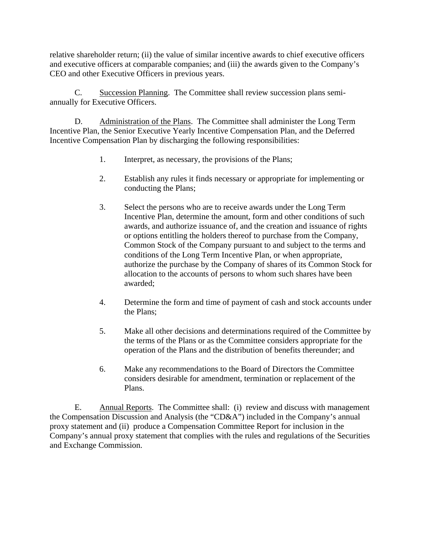relative shareholder return; (ii) the value of similar incentive awards to chief executive officers and executive officers at comparable companies; and (iii) the awards given to the Company's CEO and other Executive Officers in previous years.

C. Succession Planning. The Committee shall review succession plans semiannually for Executive Officers.

D. Administration of the Plans. The Committee shall administer the Long Term Incentive Plan, the Senior Executive Yearly Incentive Compensation Plan, and the Deferred Incentive Compensation Plan by discharging the following responsibilities:

- 1. Interpret, as necessary, the provisions of the Plans;
- 2. Establish any rules it finds necessary or appropriate for implementing or conducting the Plans;
- 3. Select the persons who are to receive awards under the Long Term Incentive Plan, determine the amount, form and other conditions of such awards, and authorize issuance of, and the creation and issuance of rights or options entitling the holders thereof to purchase from the Company, Common Stock of the Company pursuant to and subject to the terms and conditions of the Long Term Incentive Plan, or when appropriate, authorize the purchase by the Company of shares of its Common Stock for allocation to the accounts of persons to whom such shares have been awarded;
- 4. Determine the form and time of payment of cash and stock accounts under the Plans;
- 5. Make all other decisions and determinations required of the Committee by the terms of the Plans or as the Committee considers appropriate for the operation of the Plans and the distribution of benefits thereunder; and
- 6. Make any recommendations to the Board of Directors the Committee considers desirable for amendment, termination or replacement of the Plans.

E. Annual Reports. The Committee shall: (i) review and discuss with management the Compensation Discussion and Analysis (the "CD&A") included in the Company's annual proxy statement and (ii) produce a Compensation Committee Report for inclusion in the Company's annual proxy statement that complies with the rules and regulations of the Securities and Exchange Commission.